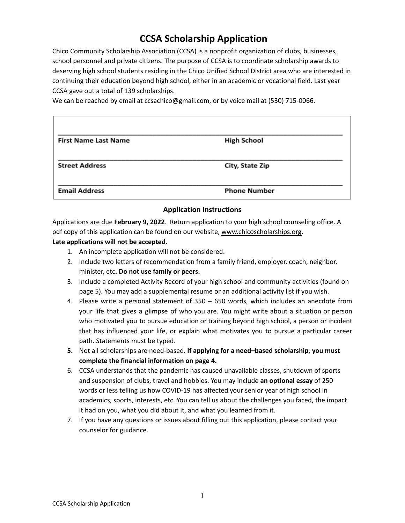# **CCSA Scholarship Application**

Chico Community Scholarship Association (CCSA) is a nonprofit organization of clubs, businesses, school personnel and private citizens. The purpose of CCSA is to coordinate scholarship awards to deserving high school students residing in the Chico Unified School District area who are interested in continuing their education beyond high school, either in an academic or vocational field. Last year CCSA gave out a total of 139 scholarships.

We can be reached by email at ccsachico@gmail.com, or by voice mail at (530) 715-0066.

| <b>First Name Last Name</b> | <b>High School</b>  |
|-----------------------------|---------------------|
| <b>Street Address</b>       | City, State Zip     |
| <b>Email Address</b>        | <b>Phone Number</b> |

### **Application Instructions**

Applications are due **February 9, 2022**. Return application to your high school counseling office. A pdf copy of this application can be found on our website, [www.chicoscholarships.org.](http://www.chicoscholarships.org)

#### **Late applications will not be accepted.**

- 1. An incomplete application will not be considered.
- 2. Include two letters of recommendation from a family friend, employer, coach, neighbor, minister, etc**. Do not use family or peers.**
- 3. Include a completed Activity Record of your high school and community activities (found on page 5). You may add a supplemental resume or an additional activity list if you wish.
- 4. Please write a personal statement of 350 650 words, which includes an anecdote from your life that gives a glimpse of who you are. You might write about a situation or person who motivated you to pursue education or training beyond high school, a person or incident that has influenced your life, or explain what motivates you to pursue a particular career path. Statements must be typed.
- **5.** Not all scholarships are need-based. **If applying for a need–based scholarship, you must complete the financial information on page 4.**
- 6. CCSA understands that the pandemic has caused unavailable classes, shutdown of sports and suspension of clubs, travel and hobbies. You may include **an optional essay** of 250 words or less telling us how COVID-19 has affected your senior year of high school in academics, sports, interests, etc. You can tell us about the challenges you faced, the impact it had on you, what you did about it, and what you learned from it.
- 7. If you have any questions or issues about filling out this application, please contact your counselor for guidance.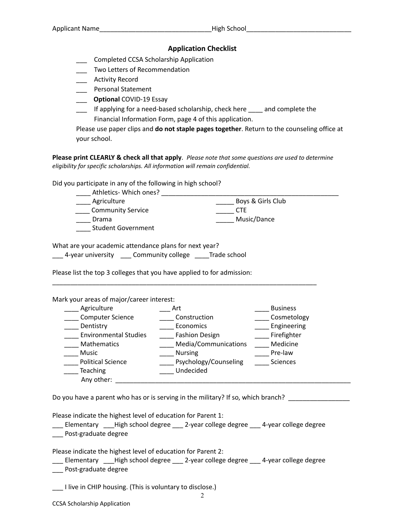#### **Application Checklist**

\_\_\_ Completed CCSA Scholarship Application

\_\_\_ Two Letters of Recommendation

\_\_\_ Activity Record

\_\_\_ Personal Statement

\_\_\_ **Optional** COVID-19 Essay

\_\_\_ If applying for a need-based scholarship, check here \_\_\_\_ and complete the Financial Information Form, page 4 of this application.

Please use paper clips and **do not staple pages together**. Return to the counseling office at your school.

**Please print CLEARLY & check all that apply**. *Please note that some questions are used to determine eligibility for specific scholarships. All information will remain confidential.*

Did you participate in any of the following in high school?

| Athletics- Which ones?    |                   |
|---------------------------|-------------------|
| Agriculture               | Boys & Girls Club |
| <b>Community Service</b>  | CTF               |
| Drama                     | Music/Dance       |
| <b>Student Government</b> |                   |

What are your academic attendance plans for next year?

\_\_\_ 4-year university \_\_\_ Community college \_\_\_\_Trade school

Please list the top 3 colleges that you have applied to for admission:

Mark your areas of major/career interest:

| Agriculture                  | Art                   | <b>Business</b> |
|------------------------------|-----------------------|-----------------|
| <b>Computer Science</b>      | Construction          | Cosmetology     |
| Dentistry                    | Economics             | Engineering     |
| <b>Environmental Studies</b> | <b>Fashion Design</b> | Firefighter     |
| Mathematics                  | Media/Communications  | Medicine        |
| <b>Music</b>                 | <b>Nursing</b>        | Pre-law         |
| <b>Political Science</b>     | Psychology/Counseling | Sciences        |
| <b>Teaching</b>              | Undecided             |                 |
| Any other:                   |                       |                 |

\_\_\_\_\_\_\_\_\_\_\_\_\_\_\_\_\_\_\_\_\_\_\_\_\_\_\_\_\_\_\_\_\_\_\_\_\_\_\_\_\_\_\_\_\_\_\_\_\_\_\_\_\_\_\_\_\_\_\_\_\_\_\_\_\_\_\_\_\_\_\_\_\_

Do you have a parent who has or is serving in the military? If so, which branch?

Please indicate the highest level of education for Parent 1:

\_\_\_ Elementary \_\_\_High school degree \_\_\_ 2-year college degree \_\_\_ 4-year college degree \_\_\_ Post-graduate degree

Please indicate the highest level of education for Parent 2:

\_\_\_ Elementary \_\_\_High school degree \_\_\_ 2-year college degree \_\_\_ 4-year college degree \_\_\_ Post-graduate degree

\_\_\_ I live in CHIP housing. (This is voluntary to disclose.)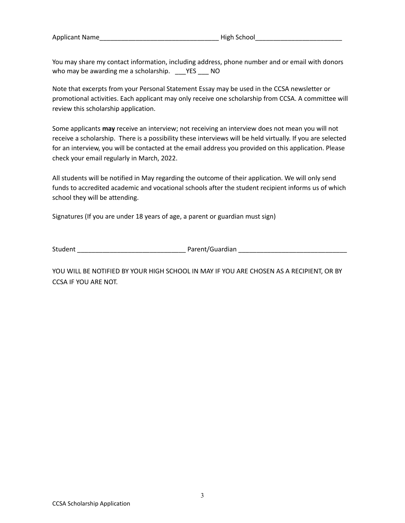Applicant Name and the set of the set of the High School and the set of the set of the set of the set of the s

You may share my contact information, including address, phone number and or email with donors who may be awarding me a scholarship. \_\_\_YES \_\_\_ NO

Note that excerpts from your Personal Statement Essay may be used in the CCSA newsletter or promotional activities. Each applicant may only receive one scholarship from CCSA. A committee will review this scholarship application.

Some applicants **may** receive an interview; not receiving an interview does not mean you will not receive a scholarship. There is a possibility these interviews will be held virtually. If you are selected for an interview, you will be contacted at the email address you provided on this application. Please check your email regularly in March, 2022.

All students will be notified in May regarding the outcome of their application. We will only send funds to accredited academic and vocational schools after the student recipient informs us of which school they will be attending.

Signatures (If you are under 18 years of age, a parent or guardian must sign)

Student \_\_\_\_\_\_\_\_\_\_\_\_\_\_\_\_\_\_\_\_\_\_\_\_\_\_\_\_\_\_ Parent/Guardian \_\_\_\_\_\_\_\_\_\_\_\_\_\_\_\_\_\_\_\_\_\_\_\_\_\_\_\_\_\_

YOU WILL BE NOTIFIED BY YOUR HIGH SCHOOL IN MAY IF YOU ARE CHOSEN AS A RECIPIENT, OR BY CCSA IF YOU ARE NOT.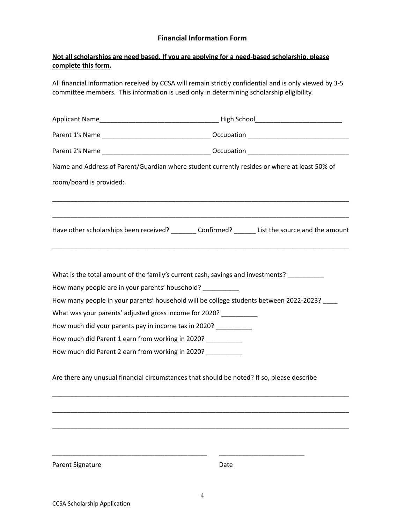## **Financial Information Form**

## **Not all scholarships are need based. If you are applying for a need-based scholarship, please complete this form.**

All financial information received by CCSA will remain strictly confidential and is only viewed by 3-5 committee members. This information is used only in determining scholarship eligibility.

| Name and Address of Parent/Guardian where student currently resides or where at least 50% of |                                                                                                    |  |  |  |  |  |  |  |
|----------------------------------------------------------------------------------------------|----------------------------------------------------------------------------------------------------|--|--|--|--|--|--|--|
| room/board is provided:                                                                      |                                                                                                    |  |  |  |  |  |  |  |
|                                                                                              | Have other scholarships been received? _________ Confirmed? _______ List the source and the amount |  |  |  |  |  |  |  |
| How many people are in your parents' household?                                              | What is the total amount of the family's current cash, savings and investments? __________         |  |  |  |  |  |  |  |
|                                                                                              | How many people in your parents' household will be college students between 2022-2023? ____        |  |  |  |  |  |  |  |
| What was your parents' adjusted gross income for 2020? __________                            |                                                                                                    |  |  |  |  |  |  |  |
| How much did your parents pay in income tax in 2020? __________                              |                                                                                                    |  |  |  |  |  |  |  |
| How much did Parent 1 earn from working in 2020?                                             |                                                                                                    |  |  |  |  |  |  |  |
| How much did Parent 2 earn from working in 2020? __________                                  |                                                                                                    |  |  |  |  |  |  |  |
|                                                                                              | Are there any unusual financial circumstances that should be noted? If so, please describe         |  |  |  |  |  |  |  |
|                                                                                              |                                                                                                    |  |  |  |  |  |  |  |
|                                                                                              |                                                                                                    |  |  |  |  |  |  |  |
|                                                                                              |                                                                                                    |  |  |  |  |  |  |  |
| Parent Signature                                                                             | Date                                                                                               |  |  |  |  |  |  |  |